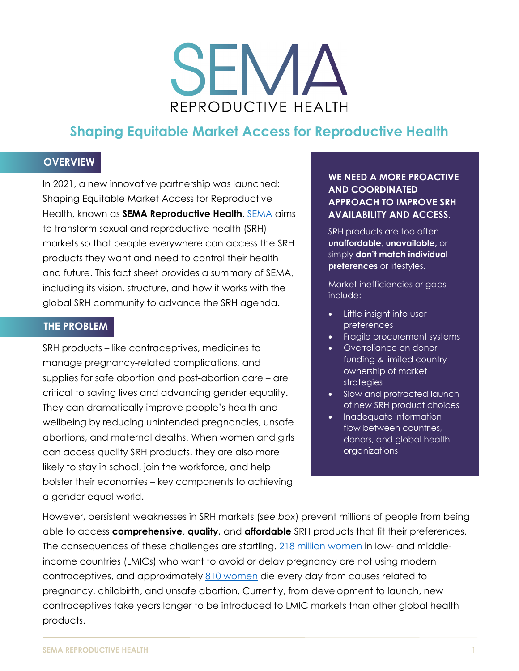# SEMA REPRODUCTIVE HEALTH

# **Shaping Equitable Market Access for Reproductive Health**

#### **OVERVIEW**

In 2021, a new innovative partnership was launched: Shaping Equitable Market Access for Reproductive Health, known as **SEMA Reproductive Health**. [SEMA](https://semareprohealth.org/) aims to transform sexual and reproductive health (SRH) markets so that people everywhere can access the SRH products they want and need to control their health and future. This fact sheet provides a summary of SEMA, including its vision, structure, and how it works with the global SRH community to advance the SRH agenda.

#### **THE PROBLEM**

SRH products – like contraceptives, medicines to manage pregnancy-related complications, and supplies for safe abortion and post-abortion care – are critical to saving lives and advancing gender equality. They can dramatically improve people's health and wellbeing by reducing unintended pregnancies, unsafe abortions, and maternal deaths. When women and girls can access quality SRH products, they are also more likely to stay in school, join the workforce, and help bolster their economies – key components to achieving a gender equal world.

#### **WE NEED A MORE PROACTIVE AND COORDINATED APPROACH TO IMPROVE SRH AVAILABILITY AND ACCESS.**

SRH products are too often **unaffordable**, **unavailable,** or simply **don't match individual preferences** or lifestyles.

Market inefficiencies or gaps include:

- Little insight into user preferences
- Fragile procurement systems
- Overreliance on donor funding & limited country ownership of market strategies
- Slow and protracted launch of new SRH product choices
- Inadequate information flow between countries, donors, and global health organizations

However, persistent weaknesses in SRH markets (*see box*) prevent millions of people from being able to access **comprehensive**, **quality,** and **affordable** SRH products that fit their preferences. The consequences of these challenges are startling. [218 million women](https://www.guttmacher.org/fact-sheet/investing-sexual-and-reproductive-health-low-and-middle-income-countries) in low- and middleincome countries (LMICs) who want to avoid or delay pregnancy are not using modern contraceptives, and approximately [810 women](https://www.who.int/news-room/fact-sheets/detail/maternal-mortality) die every day from causes related to pregnancy, childbirth, and unsafe abortion. Currently, from development to launch, new contraceptives take years longer to be introduced to LMIC markets than other global health products.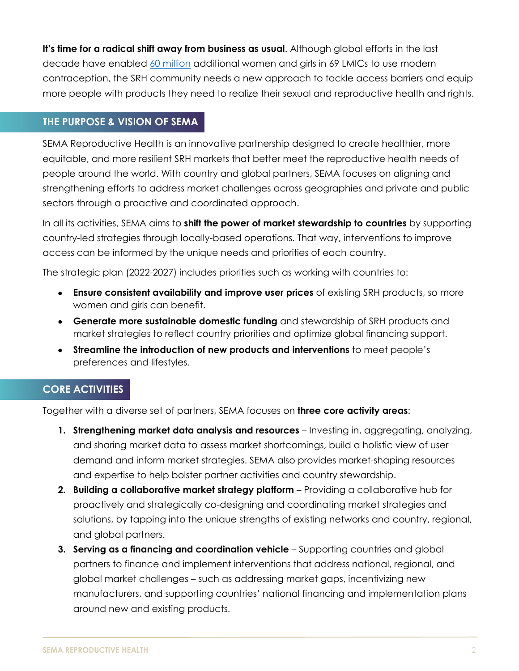**It's time for a radical shift away from business as usual**. Although global efforts in the last decade have enabled [60 million](http://progress.familyplanning2020.org/measurement) additional women and girls in 69 LMICs to use modern contraception, the SRH community needs a new approach to tackle access barriers and equip more people with products they need to realize their sexual and reproductive health and rights.

#### **THE PURPOSE & VISION OF SEMA**

SEMA Reproductive Health is an innovative partnership designed to create healthier, more equitable, and more resilient SRH markets that better meet the reproductive health needs of people around the world. With country and global partners, SEMA focuses on aligning and strengthening efforts to address market challenges across geographies and private and public sectors through a proactive and coordinated approach.

In all its activities, SEMA aims to **shift the power of market stewardship to countries** by supporting country-led strategies through locally-based operations. That way, interventions to improve access can be informed by the unique needs and priorities of each country.

The strategic plan (2022-2027) includes priorities such as working with countries to:

- **Ensure consistent availability and improve user prices** of existing SRH products, so more women and girls can benefit.
- **Generate more sustainable domestic funding** and stewardship of SRH products and market strategies to reflect country priorities and optimize global financing support.
- **Streamline the introduction of new products and interventions** to meet people's preferences and lifestyles.

## **CORE ACTIVITIES**

Together with a diverse set of partners, SEMA focuses on **three core activity areas**:

- **1. Strengthening market data analysis and resources**  Investing in, aggregating, analyzing, and sharing market data to assess market shortcomings, build a holistic view of user demand and inform market strategies. SEMA also provides market-shaping resources and expertise to help bolster partner activities and country stewardship.
- **2. Building a collaborative market strategy platform** Providing a collaborative hub for proactively and strategically co-designing and coordinating market strategies and solutions, by tapping into the unique strengths of existing networks and country, regional, and global partners.
- **3. Serving as a financing and coordination vehicle** Supporting countries and global partners to finance and implement interventions that address national, regional, and global market challenges – such as addressing market gaps, incentivizing new manufacturers, and supporting countries' national financing and implementation plans around new and existing products.